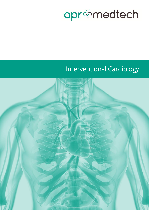# apr&medtech

## Interventional Cardiology

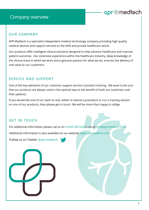### Company overview

### apr@medtech

### OUR COMPANY

APR Medtech is a specialist independent medical technology company providing high quality medical devices and support services to the NHS and private healthcare sector.

Our products offer intelligent clinical solutions designed to help advance healthcare and improve patient outcomes. Our extensive experience within the healthcare industry, deep knowledge of the clinical areas in which we work and a genuine passion for what we do, ensures the delivery of real value to our customers.

### SERVICE AND SUPPORT

One of the key elements of our customer support service is product training. We want to be sure that our products are always used in the optimal way to the benefit of both our customers and their patients.

If you would like one of our team to visit, either to attend a procedure or run a training session on one of our products, then please get in touch. We will be more than happy to oblige.

### GET IN TOUCH

For additional information please call us on 01844 340 620 or email info@aprmedtech.com.

Additional information is also available on our website: www.aprmedtech.com.

Follow us on Twitter @aprmedtech

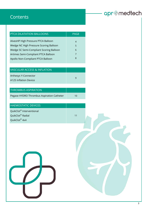### **Contents**

## apr@medtech

| PTCA DILATATION BALLOONS                | <b>PAGE</b> |
|-----------------------------------------|-------------|
|                                         |             |
| AlveoHP High Pressure PTCA Balloon      | 4           |
| Wedge NC High Pressure Scoring Balloon  | 5           |
| Wedge SC Semi-Compliant Scoring Balloon | 6           |
| Artimes Semi-Compliant PTCA Balloon     | 7           |
| Apollo Non-Compliant PTCA Balloon       | 8           |
|                                         |             |

| <b>VASCULAR ACCESS &amp; INFLATION</b> |  |
|----------------------------------------|--|
| Arthesys Y-Connector                   |  |
| A125 Inflation Device                  |  |

| <b>THROMBUS ASPIRATION</b>                |    |
|-------------------------------------------|----|
| Pegase HYDRO Thrombus Aspiration Catheter | 10 |

| <b>HAEMOSTATIC DEVICES</b>           |    |  |
|--------------------------------------|----|--|
| QuikClot <sup>®</sup> Interventional |    |  |
| QuikClot <sup>®</sup> Radial         | 11 |  |
| QuikClot <sup>®</sup> 4x4            |    |  |

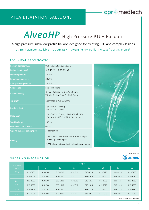## AlveoHP High Pressure PTCA Balloon

A high pressure, ultra low profile balloon designed for treating CTO and complex lesions

0.75mm diameter available | 20 atm RBP | 0.0156" entry profile | 0.0193" crossing profile\*

#### TECHNICAL SPECIFICATION

| <b>Balloon diameter (mm)</b>          | 0.75, 1.0, 1.25, 1.5, 1.75, 2.0                                                                                                            |
|---------------------------------------|--------------------------------------------------------------------------------------------------------------------------------------------|
| Balloon length (mm)                   | 5, 8, 10, 12, 15, 20, 25, 30                                                                                                               |
| <b>Nominal pressure</b>               | 10atm                                                                                                                                      |
| <b>Rated burst pressure</b>           | 20 atm                                                                                                                                     |
| Average burst pressure                | 28 atm                                                                                                                                     |
| Compliance                            | Semi-compliant                                                                                                                             |
| <b>Balloon folding</b>                | Bi-fold (2 pleats) for $\emptyset$ 0.75-1.0mm;<br>Tri-fold (3 pleats) for $\emptyset$ 1.25-2.0mm                                           |
| <b>Tip length</b>                     | 1.5mm for $\emptyset$ 0.75-1.75mm;                                                                                                         |
| <b>Proximal shaft</b>                 | 1.9F (Ø 0.75-1.5mm);<br>2.0F (Ø 1.75-2.0mm)                                                                                                |
| Distal shaft                          | 2.2F (Ø 0.75-1.0mm); 2.2F/2.36F (Ø 1.25-<br>1.50mm); 2.36F/2.55F (Ø 1.75-2.0mm)                                                            |
| <b>Working length</b>                 | 140cm                                                                                                                                      |
| <b>Guidewire compatibility</b>        | 0.014''                                                                                                                                    |
| <b>Guiding catheter compatibility</b> | 5F compatible                                                                                                                              |
| Coating                               | Slider <sup>™</sup> hydrophilic external surface from tip to<br>adjacent guidewire port<br>Eel™ hydrophobic coating inside guidewire lumen |



#### ORDERING INFORMATION

| Diameter | Length   |          |          |          |          |          |          |          |
|----------|----------|----------|----------|----------|----------|----------|----------|----------|
| (mm)     | 5        | 8        | 10       | 12       | 15       | 20       | 25       | 30       |
| 0.75     | 813-0705 | 813-0708 | 813-0710 | 813-0712 | 813-0715 | 813-0720 | 813-0725 | 813-0730 |
| 1.0      | 813-1005 | 813-1008 | 813-1010 | 813-1012 | 813-1015 | 813-1020 | 813-1025 | 813-1030 |
| 1.25     | 813-1205 | 813-1208 | 813-1210 | 813-1212 | 813-1215 | 813-1220 | 813-1225 | 813-1230 |
| 1.5      | 813-1505 | 813-1508 | 813-1510 | 813-1512 | 813-1515 | 813-1520 | 813-1525 | 813-1530 |
| 1.75     | 813-1705 | 813-1708 | 813-1710 | 813-1712 | 813-1715 | 813-1720 | 813-1725 | 813-1730 |
| 2.0      | 813-2005 | 813-2008 | 813-2010 | 813-2012 | 813-2015 | 813-2020 | 813-2025 | 813-2030 |
|          |          |          |          |          |          |          |          |          |

#### \* Ø 0.75mm x 10mm balloon

Manufactured by:

med

### apr@medtech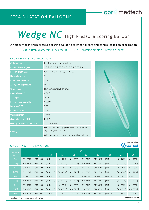### apr@medtech

# Wedge NC High Pressure Scoring Balloon

A non-compliant high pressure scoring balloon designed for safe and controlled lesion preparation

2.0 - 4.0mm diameters | 22 atm RBP | 0.0350" crossing profile\* | 10mm tip length

### TECHNICAL SPECIFICATION

| Catheter type                         | Rx; single wire scoring balloon                                                         |  |  |  |
|---------------------------------------|-----------------------------------------------------------------------------------------|--|--|--|
| <b>Balloon diameter (mm)</b>          | 2.0, 2.25, 2.5, 2.75, 3.0, 3.25, 3.5, 3.75, 4.0                                         |  |  |  |
| <b>Balloon length (mm)</b>            | 6, 8, 10, 12, 15, 18, 20, 23, 25, 30                                                    |  |  |  |
| Nominal pressure                      | 12 atm                                                                                  |  |  |  |
| Rated burst pressure                  | 22 atm                                                                                  |  |  |  |
| Average burst pressure                | 30 atm                                                                                  |  |  |  |
| Compliance                            | Non-compliant & high pressure                                                           |  |  |  |
| <b>External wire OD</b>               | 0.011''                                                                                 |  |  |  |
| <b>Tip length</b>                     | 10mm                                                                                    |  |  |  |
| <b>Balloon crossing profile</b>       | 0.0350''                                                                                |  |  |  |
| Distal shaft OD                       | 3.0F                                                                                    |  |  |  |
| Proximal shaft OD                     | 2.0F                                                                                    |  |  |  |
| <b>Working length</b>                 | 140cm                                                                                   |  |  |  |
| Guidewire compatibility               | 0.014''                                                                                 |  |  |  |
| <b>Guiding catheter compatibility</b> | 5F compatible                                                                           |  |  |  |
| Coating                               | Slider <sup>™</sup> hydrophilic external surface from tip to<br>adjacent guidewire port |  |  |  |
|                                       | Eel™ hydrophobic coating inside guidewire lumen                                         |  |  |  |

### ORDERING INFORMATION

| Diameter                                                               | Length         |                |                |              |                |                |                |                |                |                |
|------------------------------------------------------------------------|----------------|----------------|----------------|--------------|----------------|----------------|----------------|----------------|----------------|----------------|
| (mm)                                                                   | [6]            | 8              | 10             | 12           | 15             | 18             | 20             | $[23]$         | 25             | 30             |
| 2.0                                                                    | $[814 - 2006]$ | 814-2008       | 814-2010       | 814-2012     | 814-2015       | 814-2018       | 814-2020       | $[814 - 2023]$ | 814-2025       | 814-2030       |
| [2.25]                                                                 | $[814 - 2206]$ | $[814 - 2208]$ | $[814-2210]$   | $[814-2212]$ | $[814 - 2215]$ | $[814 - 2218]$ | $[814 - 2220]$ | $[814-2223]$   | $[814 - 2225]$ | $[814 - 2230]$ |
| 2.5                                                                    | $[814 - 2506]$ | 814-2508       | 814-2510       | 814-2512     | 814-2515       | 814-2518       | 814-2520       | $[814 - 2523]$ | 814-2525       | 814-2530       |
| [2.75]                                                                 | $[814-2706]$   | $[814-2708]$   | $[814-2710]$   | $[814-2712]$ | $[814 - 2715]$ | $[814-2718]$   | $[814-2720]$   | $[814-2723]$   | $[814-2725]$   | $[814 - 2730]$ |
| 3.0                                                                    | $[814 - 3006]$ | 814-3008       | 814-3010       | 814-3012     | 814-3015       | 814-3018       | 814-3020       | $[814 - 3023]$ | 814-3025       | 814-3030       |
| [3.25]                                                                 | $[814 - 3206]$ | $[814 - 3208]$ | $[814 - 3210]$ | $[814-3212]$ | $[814 - 3215]$ | $[814 - 3218]$ | $[814 - 3220]$ | $[814-3223]$   | $[814-3225]$   | $[814 - 3230]$ |
| 3.5                                                                    | $[814 - 3506]$ | 814-3508       | 814-3510       | 814-3512     | 814-3515       | 814-3518       | 814-3520       | $[814 - 3523]$ | 814-3525       | 814-3530       |
| [3.75]                                                                 | $[814 - 3706]$ | $[814 - 3708]$ | $[814 - 3710]$ | $[814-3712]$ | $[814 - 3715]$ | $[814-3718]$   | $[814 - 3720]$ | $[814-3723]$   | $[814-3725]$   | $[814 - 3730]$ |
| 4.0                                                                    | $[814 - 4006]$ | 814-4008       | 814-4010       | 814-4012     | 814-4015       | 814-4018       | 814-4020       | $[814 - 4023]$ | 814-4025       | 814-4030       |
| * Ø 3.0mm balloon<br>Note: Sizes within [] have a longer delivery time |                |                |                |              |                |                |                |                |                |                |

Manufactured by:

**asmed**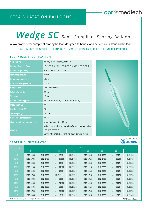### apr@medtech

## Wedge SC Semi-Compliant Scoring Balloon

A low profile semi-compliant scoring balloon designed to handle and deliver like a standard balloon 1.5 - 4.0mm diameters | 14 atm RBP | 0.0315" crossing profile\* | 5F guide compatible

#### TECHNICAL SPECIFICATION

| Catheter type                         | Rx; single wire scoring balloon                                                           |  |  |  |  |
|---------------------------------------|-------------------------------------------------------------------------------------------|--|--|--|--|
| Balloon diameter (mm)                 | 1.5, 1.75, 2.0, 2.25, 2.50, 2.75, 3.0, 3.25, 3.50, 3.75, 4.0                              |  |  |  |  |
| <b>Balloon length (mm)</b>            | 5, 8, 10, 12, 15, 20, 25, 30                                                              |  |  |  |  |
| Nominal pressure                      | 6 atm                                                                                     |  |  |  |  |
| Rated burst pressure                  | 14 atm                                                                                    |  |  |  |  |
| Average burst pressure                | 20 atm                                                                                    |  |  |  |  |
| Compliance                            | Semi-compliant                                                                            |  |  |  |  |
| <b>External wire OD</b>               | 0.011''                                                                                   |  |  |  |  |
| <b>Tip length</b>                     | 10 <sub>mm</sub>                                                                          |  |  |  |  |
| <b>Balloon crossing profile</b>       | 0.0285" (Ø 1.5mm), 0.0315" (Ø 3.0mm)                                                      |  |  |  |  |
| Distal shaft OD                       | 3.0F                                                                                      |  |  |  |  |
| Proximal shaft OD                     | 2.0F                                                                                      |  |  |  |  |
| <b>Working length</b>                 | 140cm                                                                                     |  |  |  |  |
| <b>Guidewire compatibility</b>        | 0.014''                                                                                   |  |  |  |  |
| <b>Guiding catheter compatibility</b> | 5F compatible (ID > 0.056")                                                               |  |  |  |  |
| Coating                               | Slider <sup>™</sup> hydrophilic external surface from tip to adja-<br>cent guidewire port |  |  |  |  |
|                                       | Eel™ hydrophobic coating inside guidewire lumen                                           |  |  |  |  |



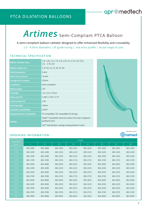## Artimes Semi-Compliant PTCA Balloon

A semi-compliant balloon catheter designed to offer enhanced flexibility and crossability 1.0 - 4.0mm diameters | 6F guide kissing | low entry profile | broad range of sizes

#### TECHNICAL SPECIFICATION

| Balloon diameter (mm)                 | 1.0, 1.25, 1.5, 1.75, 2.0, 2.25, 2.5, 2.75, 3.0, 3.25,<br>3.5, 3.75, 4.0                |
|---------------------------------------|-----------------------------------------------------------------------------------------|
| Balloon length (mm)                   | 5, 8, 10, 12, 15, 20, 25, 30                                                            |
| Nominal pressure                      | 6 atm                                                                                   |
| Rated burst pressure                  | 14 atm                                                                                  |
| Average burst pressure                | 20 atm                                                                                  |
| Compliance                            | Semi-compliant                                                                          |
| <b>Balloon pleats</b>                 | 2/3                                                                                     |
| <b>Tip length</b>                     | $1.5 / 2.0 / 2.5$ mm                                                                    |
| Distal shaft OD                       | 2.36F / 2.55F / 2.7F                                                                    |
| <b>Proximal shaft OD</b>              | 1.9F                                                                                    |
| <b>Working length</b>                 | 140cm                                                                                   |
| Guidewire compatibility               | 0.014''                                                                                 |
| <b>Guiding catheter compatibility</b> | 5F compatible / 6F compatible for kissing                                               |
| Coating                               | Slider <sup>™</sup> hydrophilic external surface from tip to adjacent<br>guidewire port |
|                                       | Eel™ hydrophobic coating inside guidewire lumen                                         |



apr@medtech

### ORDERING INFORMATION

| Diameter | Length   |          |          |          |          |          |          |          |
|----------|----------|----------|----------|----------|----------|----------|----------|----------|
| (mm)     | 5        | 8        | 10       | 12       | 15       | 20       | 25       | 30       |
| 1.0      | 801-1005 | 801-1008 | 801-1010 | 801-1012 | 801-1015 | 801-1020 | 801-1025 | 801-1030 |
| 1.25     | 801-1205 | 801-1208 | 801-1210 | 801-1212 | 801-1215 | 801-1220 | 801-1225 | 801-1230 |
| 1.5      | 801-1505 | 801-1508 | 801-1510 | 801-1512 | 801-1515 | 801-1520 | 801-1525 | 801-1530 |
| 1.75     | 801-1705 | 801-1708 | 801-1710 | 801-1712 | 801-1715 | 801-1720 | 801-1725 | 801-1730 |
| 2.0      | 801-2005 | 801-2008 | 801-2010 | 801-2012 | 801-2015 | 801-2020 | 801-2025 | 801-2030 |
| 2.25     | 801-2205 | 801-2208 | 801-2210 | 801-2212 | 801-2215 | 801-2220 | 801-2225 | 801-2230 |
| 2.5      | 801-2505 | 801-2508 | 801-2510 | 801-2512 | 801-2515 | 801-2520 | 801-2525 | 801-2530 |
| 2.75     | 801-2705 | 801-2708 | 801-2710 | 801-2712 | 801-2715 | 801-2720 | 801-2725 | 801-2730 |
| 3.0      | 801-3005 | 801-3008 | 801-3010 | 801-3012 | 801-3015 | 801-3020 | 801-3025 | 801-3030 |
| 3.25     | 801-3205 | 801-3208 | 801-3210 | 801-3212 | 801-3215 | 801-3220 | 801-3225 | 801-3230 |
| 3.5      | 801-3505 | 801-3508 | 801-3510 | 801-3512 | 801-3515 | 801-3520 | 801-3525 | 801-3530 |
| 3.75     | 801-3705 | 801-3708 | 801-3710 | 801-3712 | 801-3715 | 801-3720 | 801-3725 | 801-3730 |
| 4.0      | 801-4005 | 801-4008 | 801-4010 | 801-4012 | 801-4015 | 801-4020 | 801-4025 | 801-4030 |

#### Manufactured by:osmed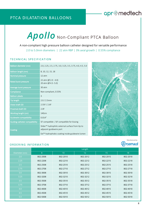### apr@medtech

# Apollo Non-Compliant PTCA Balloon

A non-compliant high pressure balloon catheter designed for versatile performance

2.0 to 5.0mm diameters | 22 atm RBP | 3% axial growth | 0.55% compliance

#### TECHNICAL SPECIFICATION

| Balloon diameter (mm)                 | 2.0, 2.25, 2.5, 2.75, 3.0, 3.25, 3.5, 3.75, 4.0, 4.5, 5.0                               |
|---------------------------------------|-----------------------------------------------------------------------------------------|
| Balloon length (mm)                   | 8, 10, 12, 15, 18                                                                       |
| <b>Nominal pressure</b>               | 12 atm                                                                                  |
| <b>Rated burst pressure</b>           | 22 atm (Ø 2.0 - 4.0)<br>20 atm (Ø 4.5-5.0)                                              |
| Average burst pressure                | 30 atm                                                                                  |
| Compliance                            | Non-compliant, 0.55%                                                                    |
| <b>Balloon pleats</b>                 | 3                                                                                       |
| <b>Tip length</b>                     | $2.0 / 2.5$ mm                                                                          |
| Distal shaft OD                       | 2.55F / 2.6F                                                                            |
| Proximal shaft OD                     | 2.0F                                                                                    |
| Working length (cm)                   | 140cm                                                                                   |
| Guidewire compatibility               | 0.014''                                                                                 |
| <b>Guiding catheter compatibility</b> | 5F compatible / 6F compatible for kissing                                               |
| Coating                               | Slider <sup>™</sup> hydrophilic external surface from tip to<br>adjacent guidewire port |
|                                       | Eel™ hydrophobic coating inside guidewire lumen                                         |

#### ORDERING INFORMATION

|               | Length   |          |          |          |          |
|---------------|----------|----------|----------|----------|----------|
| Diameter (mm) | 8        | 10       | 12       | 15       | 18       |
| 2.0           | 802-2008 | 802-2010 | 802-2012 | 802-2015 | 802-2018 |
| 2.25          | 802-2208 | 802-2210 | 802-2212 | 802-2215 | 802-2218 |
| 2.5           | 802-2508 | 802-2510 | 802-2512 | 802-2515 | 802-2518 |
| 2.75          | 802-2708 | 802-2710 | 802-2712 | 802-2715 | 802-2718 |
| 3.0           | 802-3008 | 802-3010 | 802-3012 | 802-3015 | 802-3018 |
| 3.25          | 802-3208 | 802-3210 | 802-3212 | 802-3215 | 802-3218 |
| 3.5           | 802-3508 | 802-3510 | 802-3512 | 802-3515 | 802-3518 |
| 3.75          | 802-3708 | 802-3710 | 802-3712 | 802-3715 | 802-3718 |
| 4.0           | 802-4008 | 802-4010 | 802-4012 | 802-4015 | 802-4018 |
| 4.5           | 802-4508 | 802-4510 | 802-4512 | 802-4515 | 802-4518 |
| 5.0           | 802-5008 | 802-5010 | 802-5012 | 802-5015 | 802-5018 |

Manufactured by:

Brosmed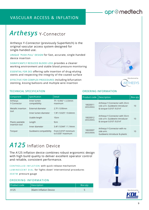### VASCULAR ACCESS & INFLATION

## *Arthesys* Y-Connector

Arthesys Y-Connector (previously SuperKetch) is the original vascular access system designed for single-handed use.

UNIQUE 'PUSH-PULL' DESIGN for fast, accurate, single-handed device insertion

SIGNIFICANTLY REDUCED BLOOD LOSS provides a cleaner working environment and stable blood pressure monitoring

ESSENTIAL FOR DES offering safe insertion of drug-eluting stents and respecting the integrity of the coated surface

EFFECTIVE FOR COMPLEX PROCEDURES including bifurcation stenting, kissing balloons and multiple wire insertion





#### TECHNICAL SPECIFICATION

| Component                          | Specification                | <b>Detail</b>                            |
|------------------------------------|------------------------------|------------------------------------------|
| Arthesys<br>Y-Connector            | Inner lumen<br>compatibility | 7F / 0.092" / 2.33mm<br>maximum          |
| Metallic insertion<br>tool         | External diameter            | 2.7F / 0.90mm                            |
|                                    | Inner lumen diameter         | 1.9F / 0.025" / 0.64mm                   |
|                                    | Usable length                | 10cm                                     |
| Plastic peelable<br>insertion tool | Length                       | 9 <sub>cm</sub>                          |
|                                    | Inner diameter               | 3.4F / 0.044" / 1.14mm                   |
| Torquer                            | Guidewire compatibility      | From 0.010" minimum<br>to 0.035" maximum |

### *A125* Inflation Device

The A125 inflation device combines robust ergonomic design with high build quality to deliver excellent operator control and reliable, consistent performance.

CONTROLLED INFLATION with quick release mechanism LUMINESCENT DIAL for 'lights down' interventional procedures 30ATM pressure gauge

#### OR DERING INFORMATION

| <b>Product code</b> | <b>Description</b>     | Box gty |
|---------------------|------------------------|---------|
| A125                | 30atm Inflation Device |         |

#### ORDERING INFORMATION

| Product code           | <b>Description</b>                                                                            | Box gty        |
|------------------------|-----------------------------------------------------------------------------------------------|----------------|
| 18020011<br>(KESU0002) | Arthesys Y-Connector with 20cm<br>side arm. Guidewire introducer<br>& torquer 0.010" / 0.014" | 10             |
| 18020012<br>(KESU0005) | Arthesys Y-Connector with 50cm<br>side arm. Guidewire introducer<br>& torquer 0.010" / 0.014" | 1 <sub>0</sub> |
| 18020007<br>(KESU0004) | Arthesys Y-Connector with no<br>side arm.<br>Guidewire introducer & plastic                   | 10             |





apr@medtech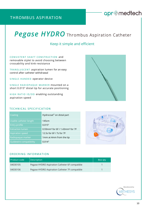### THROMBUS ASPIRATION

### apr@medtech

## **Pegase HYDRO** Thrombus Aspiration Catheter

### Keep it simple and efficient

### CONSISTENT SHAFT CONSTRUCTION and

removable stylet to avoid choosing between crossability and kink-resistance

TRANSLUSCENT aspiration lumen for an easy control after catheter withdrawal

SINGLE-HANDED operator device

SINGLE RADIOPAQUE MARKER mounted on a short 0.015" distal tip for accurate positioning

HIGH RATIO ID/OD enabling outstanding aspiration speed

#### TECHNICAL SPECIFICATION

| Coating                        | Hydrocoat <sup>®</sup> on distal part                   |
|--------------------------------|---------------------------------------------------------|
| Usable catheter length         | 145cm                                                   |
| Entry profile                  | 0.015''                                                 |
| <b>Extraction lumen</b>        | 0.93mm <sup>2</sup> for 6F / 1.43mm <sup>2</sup> for 7F |
| <b>Aspiration speed</b>        | 12.5s for 6F / 7s for 7F                                |
| Radiopaque marker              | 1mm at 4mm from the tip                                 |
| <b>Guidewire compatibility</b> | 0.014''                                                 |



#### ORDERING INFORMATION

| Product code | Description                                    | Box gty |
|--------------|------------------------------------------------|---------|
| 04030105     | Pegase HYDRO Aspiration Catheter 6F compatible |         |
| 04030106     | Pegase HYDRO Aspiration Catheter 7F compatible |         |

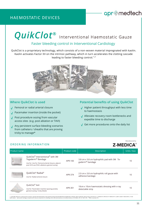### HAEMOSTATIC DEVICES

### apr@medtech

# *QuikClot***®** Interventional Haemostatic Gauze

### Faster bleeding control in Interventional Cardiology

QuikClot is a proprietary technology, which consists of a non-woven material impregnated with kaolin. Kaolin activates Factor XII on the intrinsic pathway, which in turn accelerates the clotting cascade leading to faster bleeding control.<sup>1,2</sup>



### **Where QuikClot is used**

- Femoral or radial arterial closure **√**
- Pacemaker insertion (inside the pocket) **√**
- Post procedure oozing from vascular access sites (e.g. post ablation or TAVI) **√**
- Any persistent surface bleeding scenarios **√** from catheters / sheaths that are proving tricky to manage\*

### **Potential benefits of using QuikClot**

- √ Higher patient throughput with less time to haemostasis
- Alleviate recovery room bottlenecks and **√** expedite time to discharge
- Get more procedures onto the daily list **√**

#### ORDERING INFORMATION

|        | Manufactured by: |  |  |  |  |
|--------|------------------|--|--|--|--|
| -MEDIC |                  |  |  |  |  |

| Product name |                                                                                                                                                                                        | Product code | Description                                                     | Units / box |
|--------------|----------------------------------------------------------------------------------------------------------------------------------------------------------------------------------------|--------------|-----------------------------------------------------------------|-------------|
|              | QuikClot <sup>®</sup> Interventional <sup>®</sup> with 3M<br>Tegaderm™ Bandage<br>Use for: Use for: Femoral arterial closure, adjunct<br>post VCD use (TAVI, ablation), general oozing | APR-183      | 3.8 cm x 3.8 cm hydrophilic pad with 3M Te-<br>gaderm™ bandage  | 10          |
|              | QuikClot® Radial®<br>Use for: Radial arterial closure                                                                                                                                  | APR-374      | 2.0 cm x 3.8 cm hydrophilic roll gauze with<br>adhesive bandage | 10          |
|              | QuikClot® 4x4<br>Use for: Pacemaker insertion (pacing pocket),<br>general oozing / tricky bleeds                                                                                       | APR-301      | 10cm x 10cm haemostatic dressing with x-ray<br>detectable strip | 10          |

1. Lamb KM, Pitcher HT, Cavarocchi NC, Hirose H. Vascular Site Hemostasis in Percutaneous Extracorporeal Membrane Oxygenation Therapy. Open Cardiovasc Thorac Surg J. 2012;58-10. 2 Trabattoni D, Montorsi P, Fabbiocchi F, Lu